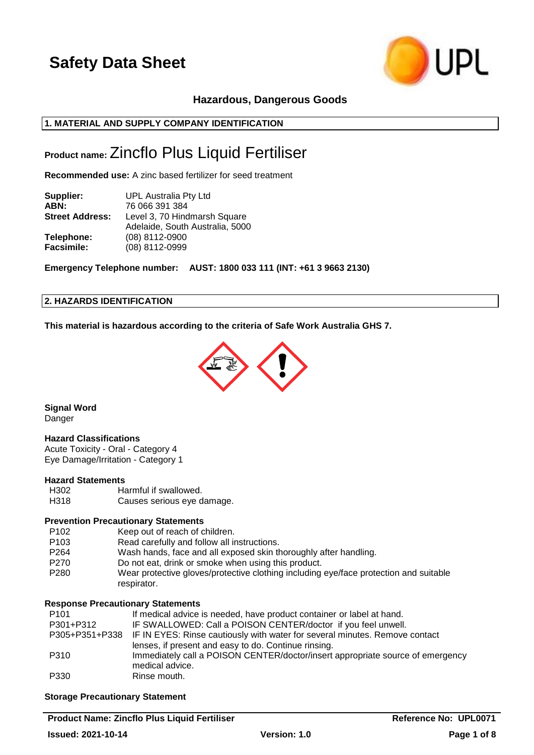

## **Hazardous, Dangerous Goods**

## **1. MATERIAL AND SUPPLY COMPANY IDENTIFICATION**

## **Product name:** Zincflo Plus Liquid Fertiliser

**Recommended use:** A zinc based fertilizer for seed treatment

| Supplier:              | <b>UPL Australia Pty Ltd</b>    |  |
|------------------------|---------------------------------|--|
| ABN:                   | 76 066 391 384                  |  |
| <b>Street Address:</b> | Level 3, 70 Hindmarsh Square    |  |
|                        | Adelaide, South Australia, 5000 |  |
| Telephone:             | (08) 8112-0900                  |  |
| <b>Facsimile:</b>      | (08) 8112-0999                  |  |

**Emergency Telephone number: AUST: 1800 033 111 (INT: +61 3 9663 2130)**

## **2. HAZARDS IDENTIFICATION**

**This material is hazardous according to the criteria of Safe Work Australia GHS 7.**



**Signal Word** Danger

### **Hazard Classifications**

Acute Toxicity - Oral - Category 4 Eye Damage/Irritation - Category 1

#### **Hazard Statements**

H302 Harmful if swallowed. H318 Causes serious eye damage.

### **Prevention Precautionary Statements**

| P <sub>102</sub> | Keep out of reach of children.                                                                       |
|------------------|------------------------------------------------------------------------------------------------------|
| P <sub>103</sub> | Read carefully and follow all instructions.                                                          |
| P <sub>264</sub> | Wash hands, face and all exposed skin thoroughly after handling.                                     |
| P <sub>270</sub> | Do not eat, drink or smoke when using this product.                                                  |
| P <sub>280</sub> | Wear protective gloves/protective clothing including eye/face protection and suitable<br>respirator. |

#### **Response Precautionary Statements**

| P <sub>101</sub> | If medical advice is needed, have product container or label at hand.                      |
|------------------|--------------------------------------------------------------------------------------------|
| P301+P312        | IF SWALLOWED: Call a POISON CENTER/doctor if you feel unwell.                              |
|                  | P305+P351+P338 IF IN EYES: Rinse cautiously with water for several minutes. Remove contact |
|                  | lenses, if present and easy to do. Continue rinsing.                                       |
| P310             | Immediately call a POISON CENTER/doctor/insert appropriate source of emergency             |
|                  | medical advice.                                                                            |
| P330             | Rinse mouth.                                                                               |

### **Storage Precautionary Statement**

**Product Name: Zincflo Plus Liquid Fertiliser Reference No: UPL0071 Issued: 2021-10-14 Version: 1.0 Page 1 of 8**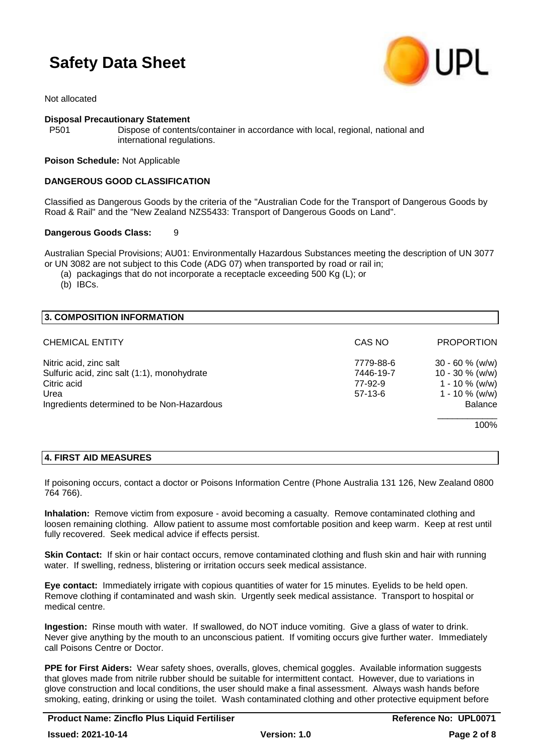

Not allocated

### **Disposal Precautionary Statement**

P501 Dispose of contents/container in accordance with local, regional, national and international regulations.

#### **Poison Schedule:** Not Applicable

#### **DANGEROUS GOOD CLASSIFICATION**

Classified as Dangerous Goods by the criteria of the "Australian Code for the Transport of Dangerous Goods by Road & Rail" and the "New Zealand NZS5433: Transport of Dangerous Goods on Land".

#### **Dangerous Goods Class:** 9

Australian Special Provisions; AU01: Environmentally Hazardous Substances meeting the description of UN 3077 or UN 3082 are not subject to this Code (ADG 07) when transported by road or rail in;

(a) packagings that do not incorporate a receptacle exceeding 500 Kg (L); or

(b) IBCs.

| 3. COMPOSITION INFORMATION                  |           |                    |
|---------------------------------------------|-----------|--------------------|
| <b>CHEMICAL ENTITY</b>                      | CAS NO    | <b>PROPORTION</b>  |
| Nitric acid, zinc salt                      | 7779-88-6 | $30 - 60 \%$ (w/w) |
| Sulfuric acid, zinc salt (1:1), monohydrate | 7446-19-7 | $10 - 30 \%$ (w/w) |
| Citric acid                                 | 77-92-9   | $1 - 10 \%$ (w/w)  |
| Urea                                        | $57-13-6$ | $1 - 10 \%$ (w/w)  |
| Ingredients determined to be Non-Hazardous  |           | <b>Balance</b>     |
|                                             |           | 100%               |
|                                             |           |                    |

## **4. FIRST AID MEASURES**

If poisoning occurs, contact a doctor or Poisons Information Centre (Phone Australia 131 126, New Zealand 0800 764 766).

**Inhalation:** Remove victim from exposure - avoid becoming a casualty. Remove contaminated clothing and loosen remaining clothing. Allow patient to assume most comfortable position and keep warm. Keep at rest until fully recovered. Seek medical advice if effects persist.

**Skin Contact:** If skin or hair contact occurs, remove contaminated clothing and flush skin and hair with running water. If swelling, redness, blistering or irritation occurs seek medical assistance.

**Eye contact:** Immediately irrigate with copious quantities of water for 15 minutes. Eyelids to be held open. Remove clothing if contaminated and wash skin. Urgently seek medical assistance. Transport to hospital or medical centre.

**Ingestion:** Rinse mouth with water. If swallowed, do NOT induce vomiting. Give a glass of water to drink. Never give anything by the mouth to an unconscious patient. If vomiting occurs give further water. Immediately call Poisons Centre or Doctor.

**PPE for First Aiders:** Wear safety shoes, overalls, gloves, chemical goggles. Available information suggests that gloves made from nitrile rubber should be suitable for intermittent contact. However, due to variations in glove construction and local conditions, the user should make a final assessment. Always wash hands before smoking, eating, drinking or using the toilet. Wash contaminated clothing and other protective equipment before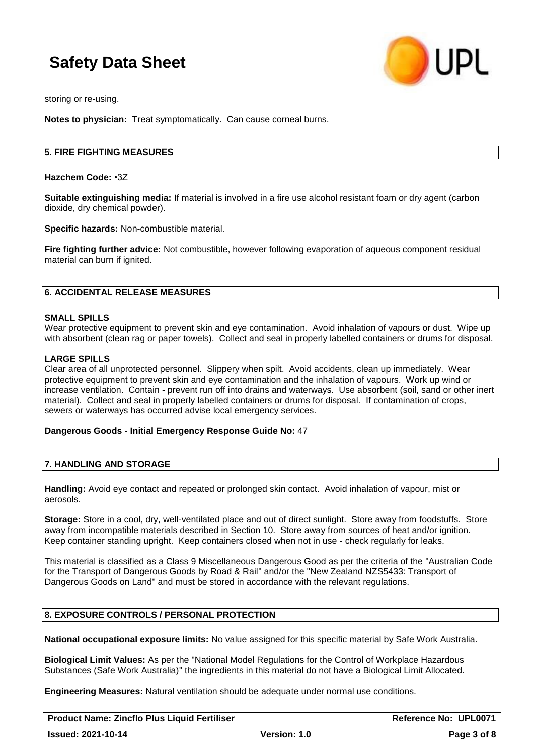

storing or re-using.

**Notes to physician:** Treat symptomatically. Can cause corneal burns.

#### **5. FIRE FIGHTING MEASURES**

**Hazchem Code:** •3Z

**Suitable extinguishing media:** If material is involved in a fire use alcohol resistant foam or dry agent (carbon dioxide, dry chemical powder).

**Specific hazards:** Non-combustible material.

**Fire fighting further advice:** Not combustible, however following evaporation of aqueous component residual material can burn if ignited.

#### **6. ACCIDENTAL RELEASE MEASURES**

#### **SMALL SPILLS**

Wear protective equipment to prevent skin and eye contamination. Avoid inhalation of vapours or dust. Wipe up with absorbent (clean rag or paper towels). Collect and seal in properly labelled containers or drums for disposal.

#### **LARGE SPILLS**

Clear area of all unprotected personnel. Slippery when spilt. Avoid accidents, clean up immediately. Wear protective equipment to prevent skin and eye contamination and the inhalation of vapours. Work up wind or increase ventilation. Contain - prevent run off into drains and waterways. Use absorbent (soil, sand or other inert material). Collect and seal in properly labelled containers or drums for disposal. If contamination of crops, sewers or waterways has occurred advise local emergency services.

#### **Dangerous Goods - Initial Emergency Response Guide No:** 47

#### **7. HANDLING AND STORAGE**

**Handling:** Avoid eye contact and repeated or prolonged skin contact. Avoid inhalation of vapour, mist or aerosols.

**Storage:** Store in a cool, dry, well-ventilated place and out of direct sunlight. Store away from foodstuffs. Store away from incompatible materials described in Section 10. Store away from sources of heat and/or ignition. Keep container standing upright. Keep containers closed when not in use - check regularly for leaks.

This material is classified as a Class 9 Miscellaneous Dangerous Good as per the criteria of the "Australian Code for the Transport of Dangerous Goods by Road & Rail" and/or the "New Zealand NZS5433: Transport of Dangerous Goods on Land" and must be stored in accordance with the relevant regulations.

### **8. EXPOSURE CONTROLS / PERSONAL PROTECTION**

**National occupational exposure limits:** No value assigned for this specific material by Safe Work Australia.

**Biological Limit Values:** As per the "National Model Regulations for the Control of Workplace Hazardous Substances (Safe Work Australia)" the ingredients in this material do not have a Biological Limit Allocated.

**Engineering Measures:** Natural ventilation should be adequate under normal use conditions.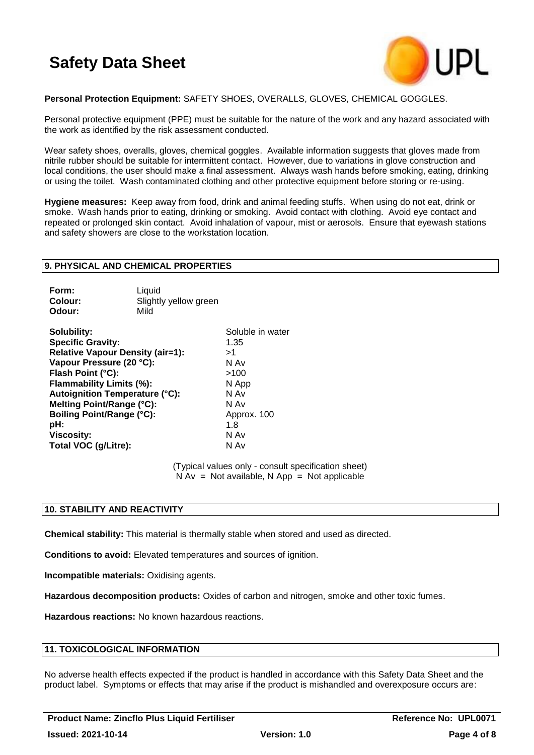

### **Personal Protection Equipment:** SAFETY SHOES, OVERALLS, GLOVES, CHEMICAL GOGGLES.

Personal protective equipment (PPE) must be suitable for the nature of the work and any hazard associated with the work as identified by the risk assessment conducted.

Wear safety shoes, overalls, gloves, chemical goggles. Available information suggests that gloves made from nitrile rubber should be suitable for intermittent contact. However, due to variations in glove construction and local conditions, the user should make a final assessment. Always wash hands before smoking, eating, drinking or using the toilet. Wash contaminated clothing and other protective equipment before storing or re-using.

**Hygiene measures:** Keep away from food, drink and animal feeding stuffs. When using do not eat, drink or smoke. Wash hands prior to eating, drinking or smoking. Avoid contact with clothing. Avoid eye contact and repeated or prolonged skin contact. Avoid inhalation of vapour, mist or aerosols. Ensure that eyewash stations and safety showers are close to the workstation location.

#### **9. PHYSICAL AND CHEMICAL PROPERTIES**

| Form:   | Liauid                |
|---------|-----------------------|
| Colour: | Slightly yellow green |
| Odour:  | Mild                  |

**Solubility:** Soluble in water **Specific Gravity:** 1.35 **Relative Vapour Density (air=1):** >1 **Vapour Pressure (20 °C):** N Av **Flash Point (°C):** >100 **Flammability Limits (%):** N App **Autoignition Temperature (°C):** N Av **Melting Point/Range (°C):** N Av **Boiling Point/Range (°C):** Approx. 100 **pH:** 1.8 **Viscosity:** N Av **Total VOC (g/Litre):** N Av

(Typical values only - consult specification sheet)  $N Av = Not available, N App = Not applicable$ 

#### **10. STABILITY AND REACTIVITY**

**Chemical stability:** This material is thermally stable when stored and used as directed.

**Conditions to avoid:** Elevated temperatures and sources of ignition.

**Incompatible materials:** Oxidising agents.

**Hazardous decomposition products:** Oxides of carbon and nitrogen, smoke and other toxic fumes.

**Hazardous reactions:** No known hazardous reactions.

### **11. TOXICOLOGICAL INFORMATION**

No adverse health effects expected if the product is handled in accordance with this Safety Data Sheet and the product label. Symptoms or effects that may arise if the product is mishandled and overexposure occurs are: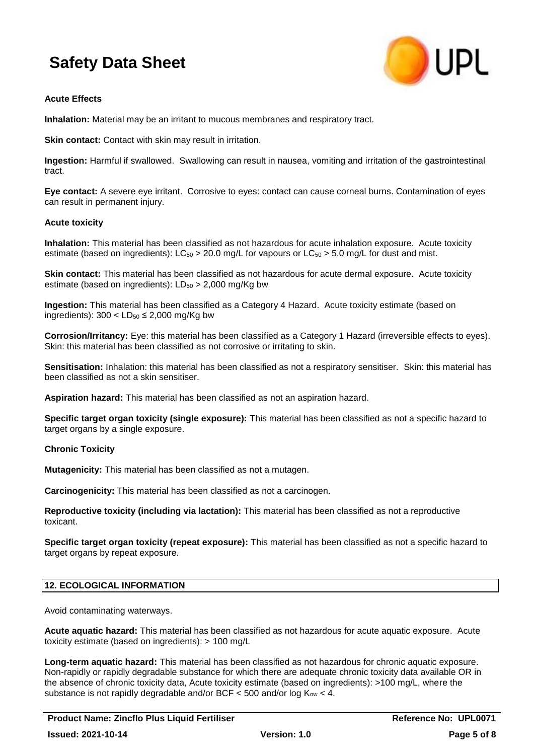

### **Acute Effects**

**Inhalation:** Material may be an irritant to mucous membranes and respiratory tract.

**Skin contact:** Contact with skin may result in irritation.

**Ingestion:** Harmful if swallowed. Swallowing can result in nausea, vomiting and irritation of the gastrointestinal tract.

**Eye contact:** A severe eye irritant. Corrosive to eyes: contact can cause corneal burns. Contamination of eyes can result in permanent injury.

### **Acute toxicity**

**Inhalation:** This material has been classified as not hazardous for acute inhalation exposure. Acute toxicity estimate (based on ingredients):  $LC_{50} > 20.0$  mg/L for vapours or  $LC_{50} > 5.0$  mg/L for dust and mist.

**Skin contact:** This material has been classified as not hazardous for acute dermal exposure. Acute toxicity estimate (based on ingredients):  $LD_{50} > 2,000$  mg/Kg bw

**Ingestion:** This material has been classified as a Category 4 Hazard. Acute toxicity estimate (based on ingredients):  $300 < LD_{50} \le 2,000$  mg/Kg bw

**Corrosion/Irritancy:** Eye: this material has been classified as a Category 1 Hazard (irreversible effects to eyes). Skin: this material has been classified as not corrosive or irritating to skin.

**Sensitisation:** Inhalation: this material has been classified as not a respiratory sensitiser. Skin: this material has been classified as not a skin sensitiser.

**Aspiration hazard:** This material has been classified as not an aspiration hazard.

**Specific target organ toxicity (single exposure):** This material has been classified as not a specific hazard to target organs by a single exposure.

### **Chronic Toxicity**

**Mutagenicity:** This material has been classified as not a mutagen.

**Carcinogenicity:** This material has been classified as not a carcinogen.

**Reproductive toxicity (including via lactation):** This material has been classified as not a reproductive toxicant.

**Specific target organ toxicity (repeat exposure):** This material has been classified as not a specific hazard to target organs by repeat exposure.

### **12. ECOLOGICAL INFORMATION**

Avoid contaminating waterways.

**Acute aquatic hazard:** This material has been classified as not hazardous for acute aquatic exposure. Acute toxicity estimate (based on ingredients): > 100 mg/L

**Long-term aquatic hazard:** This material has been classified as not hazardous for chronic aquatic exposure. Non-rapidly or rapidly degradable substance for which there are adequate chronic toxicity data available OR in the absence of chronic toxicity data, Acute toxicity estimate (based on ingredients): >100 mg/L, where the substance is not rapidly degradable and/or BCF  $\lt$  500 and/or log K<sub>ow</sub>  $\lt$  4.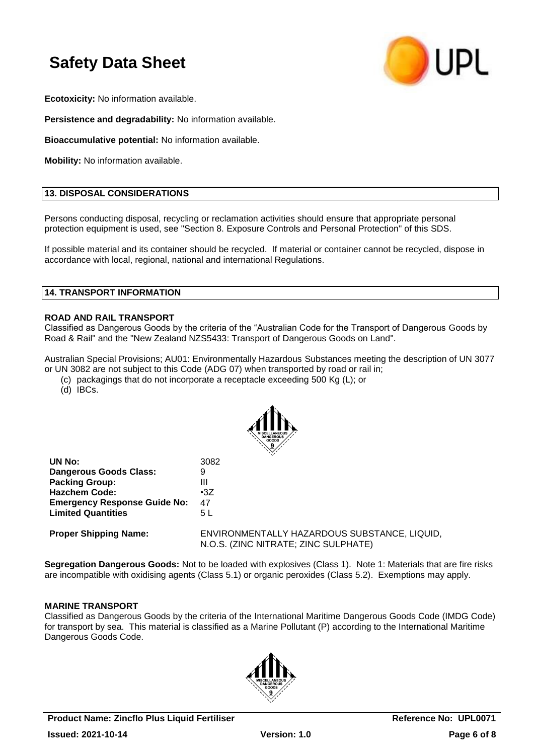

**Ecotoxicity:** No information available.

**Persistence and degradability:** No information available.

**Bioaccumulative potential:** No information available.

**Mobility:** No information available.

### **13. DISPOSAL CONSIDERATIONS**

Persons conducting disposal, recycling or reclamation activities should ensure that appropriate personal protection equipment is used, see "Section 8. Exposure Controls and Personal Protection" of this SDS.

If possible material and its container should be recycled. If material or container cannot be recycled, dispose in accordance with local, regional, national and international Regulations.

### **14. TRANSPORT INFORMATION**

### **ROAD AND RAIL TRANSPORT**

Classified as Dangerous Goods by the criteria of the "Australian Code for the Transport of Dangerous Goods by Road & Rail" and the "New Zealand NZS5433: Transport of Dangerous Goods on Land".

Australian Special Provisions; AU01: Environmentally Hazardous Substances meeting the description of UN 3077 or UN 3082 are not subject to this Code (ADG 07) when transported by road or rail in;

- (c) packagings that do not incorporate a receptacle exceeding 500 Kg (L); or
- (d) IBCs.



| UN No:                              | 3082                                                                                 |
|-------------------------------------|--------------------------------------------------------------------------------------|
| Dangerous Goods Class:              | 9                                                                                    |
| <b>Packing Group:</b>               | Ш                                                                                    |
| <b>Hazchem Code:</b>                | $\cdot 37$                                                                           |
| <b>Emergency Response Guide No:</b> | 47                                                                                   |
| <b>Limited Quantities</b>           | 5 L                                                                                  |
| <b>Proper Shipping Name:</b>        | ENVIRONMENTALLY HAZARDOUS SUBSTANCE, LIQUID,<br>N.O.S. (ZINC NITRATE; ZINC SULPHATE) |

**Segregation Dangerous Goods:** Not to be loaded with explosives (Class 1). Note 1: Materials that are fire risks are incompatible with oxidising agents (Class 5.1) or organic peroxides (Class 5.2). Exemptions may apply.

### **MARINE TRANSPORT**

Classified as Dangerous Goods by the criteria of the International Maritime Dangerous Goods Code (IMDG Code) for transport by sea. This material is classified as a Marine Pollutant (P) according to the International Maritime Dangerous Goods Code.

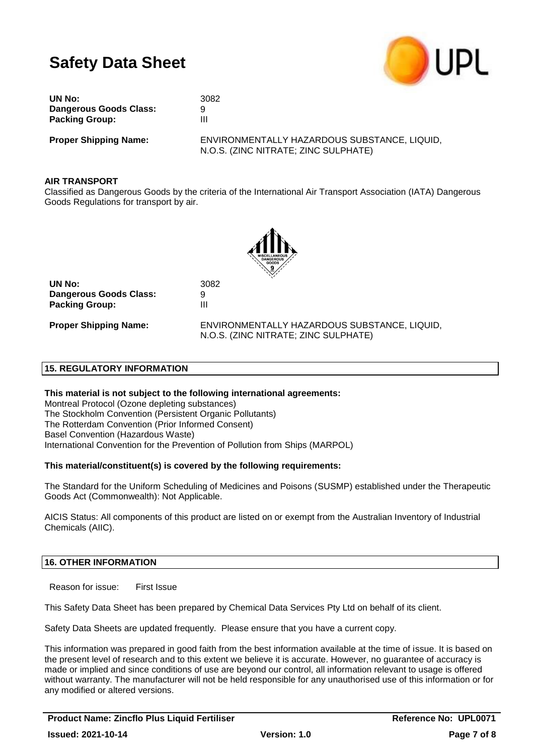

| UN No:                 | 3082 |
|------------------------|------|
| Dangerous Goods Class: | 9    |
| <b>Packing Group:</b>  | Ш    |

**Proper Shipping Name:** ENVIRONMENTALLY HAZARDOUS SUBSTANCE, LIQUID, N.O.S. (ZINC NITRATE; ZINC SULPHATE)

### **AIR TRANSPORT**

Classified as Dangerous Goods by the criteria of the International Air Transport Association (IATA) Dangerous Goods Regulations for transport by air.



**UN No:** 3082 **Dangerous Goods Class:** 9 **Packing Group:** III

**Proper Shipping Name:** ENVIRONMENTALLY HAZARDOUS SUBSTANCE, LIQUID, N.O.S. (ZINC NITRATE; ZINC SULPHATE)

### **15. REGULATORY INFORMATION**

**This material is not subject to the following international agreements:** Montreal Protocol (Ozone depleting substances) The Stockholm Convention (Persistent Organic Pollutants) The Rotterdam Convention (Prior Informed Consent) Basel Convention (Hazardous Waste) International Convention for the Prevention of Pollution from Ships (MARPOL)

### **This material/constituent(s) is covered by the following requirements:**

The Standard for the Uniform Scheduling of Medicines and Poisons (SUSMP) established under the Therapeutic Goods Act (Commonwealth): Not Applicable.

AICIS Status: All components of this product are listed on or exempt from the Australian Inventory of Industrial Chemicals (AIIC).

### **16. OTHER INFORMATION**

Reason for issue: First Issue

This Safety Data Sheet has been prepared by Chemical Data Services Pty Ltd on behalf of its client.

Safety Data Sheets are updated frequently. Please ensure that you have a current copy.

This information was prepared in good faith from the best information available at the time of issue. It is based on the present level of research and to this extent we believe it is accurate. However, no guarantee of accuracy is made or implied and since conditions of use are beyond our control, all information relevant to usage is offered without warranty. The manufacturer will not be held responsible for any unauthorised use of this information or for any modified or altered versions.